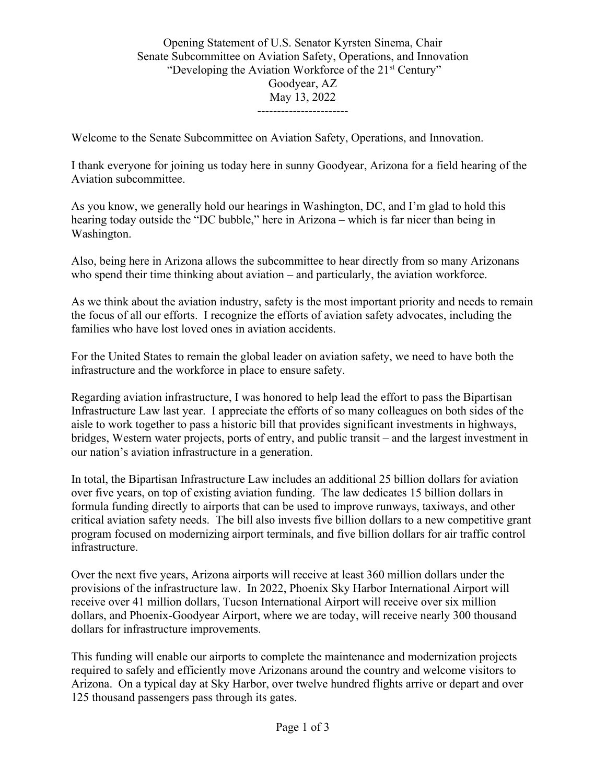## Opening Statement of U.S. Senator Kyrsten Sinema, Chair Senate Subcommittee on Aviation Safety, Operations, and Innovation "Developing the Aviation Workforce of the 21<sup>st</sup> Century" Goodyear, AZ May 13, 2022 -----------------------

Welcome to the Senate Subcommittee on Aviation Safety, Operations, and Innovation.

I thank everyone for joining us today here in sunny Goodyear, Arizona for a field hearing of the Aviation subcommittee.

As you know, we generally hold our hearings in Washington, DC, and I'm glad to hold this hearing today outside the "DC bubble," here in Arizona – which is far nicer than being in Washington.

Also, being here in Arizona allows the subcommittee to hear directly from so many Arizonans who spend their time thinking about aviation – and particularly, the aviation workforce.

As we think about the aviation industry, safety is the most important priority and needs to remain the focus of all our efforts. I recognize the efforts of aviation safety advocates, including the families who have lost loved ones in aviation accidents.

For the United States to remain the global leader on aviation safety, we need to have both the infrastructure and the workforce in place to ensure safety.

Regarding aviation infrastructure, I was honored to help lead the effort to pass the Bipartisan Infrastructure Law last year. I appreciate the efforts of so many colleagues on both sides of the aisle to work together to pass a historic bill that provides significant investments in highways, bridges, Western water projects, ports of entry, and public transit – and the largest investment in our nation's aviation infrastructure in a generation.

In total, the Bipartisan Infrastructure Law includes an additional 25 billion dollars for aviation over five years, on top of existing aviation funding. The law dedicates 15 billion dollars in formula funding directly to airports that can be used to improve runways, taxiways, and other critical aviation safety needs. The bill also invests five billion dollars to a new competitive grant program focused on modernizing airport terminals, and five billion dollars for air traffic control infrastructure.

Over the next five years, Arizona airports will receive at least 360 million dollars under the provisions of the infrastructure law. In 2022, Phoenix Sky Harbor International Airport will receive over 41 million dollars, Tucson International Airport will receive over six million dollars, and Phoenix-Goodyear Airport, where we are today, will receive nearly 300 thousand dollars for infrastructure improvements.

This funding will enable our airports to complete the maintenance and modernization projects required to safely and efficiently move Arizonans around the country and welcome visitors to Arizona. On a typical day at Sky Harbor, over twelve hundred flights arrive or depart and over 125 thousand passengers pass through its gates.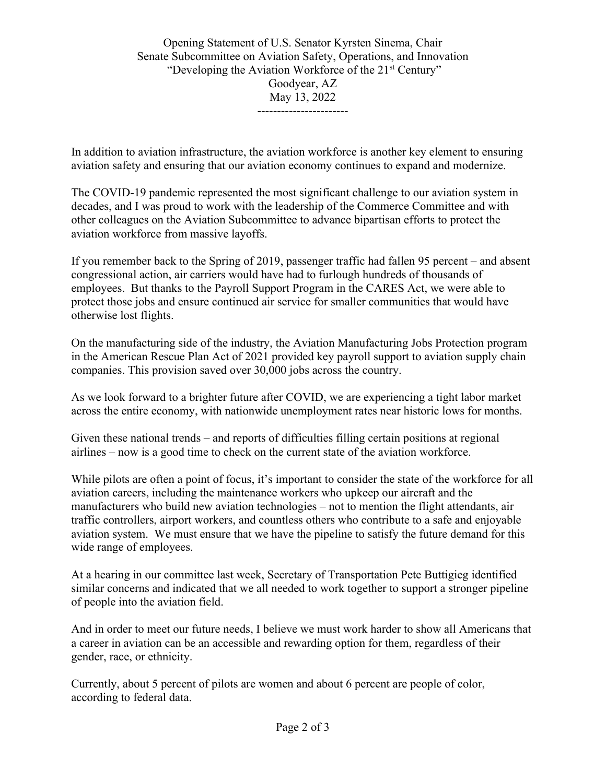Opening Statement of U.S. Senator Kyrsten Sinema, Chair Senate Subcommittee on Aviation Safety, Operations, and Innovation "Developing the Aviation Workforce of the 21<sup>st</sup> Century" Goodyear, AZ May 13, 2022 -----------------------

In addition to aviation infrastructure, the aviation workforce is another key element to ensuring aviation safety and ensuring that our aviation economy continues to expand and modernize.

The COVID-19 pandemic represented the most significant challenge to our aviation system in decades, and I was proud to work with the leadership of the Commerce Committee and with other colleagues on the Aviation Subcommittee to advance bipartisan efforts to protect the aviation workforce from massive layoffs.

If you remember back to the Spring of 2019, passenger traffic had fallen 95 percent – and absent congressional action, air carriers would have had to furlough hundreds of thousands of employees. But thanks to the Payroll Support Program in the CARES Act, we were able to protect those jobs and ensure continued air service for smaller communities that would have otherwise lost flights.

On the manufacturing side of the industry, the Aviation Manufacturing Jobs Protection program in the American Rescue Plan Act of 2021 provided key payroll support to aviation supply chain companies. This provision saved over 30,000 jobs across the country.

As we look forward to a brighter future after COVID, we are experiencing a tight labor market across the entire economy, with nationwide unemployment rates near historic lows for months.

Given these national trends – and reports of difficulties filling certain positions at regional airlines – now is a good time to check on the current state of the aviation workforce.

While pilots are often a point of focus, it's important to consider the state of the workforce for all aviation careers, including the maintenance workers who upkeep our aircraft and the manufacturers who build new aviation technologies – not to mention the flight attendants, air traffic controllers, airport workers, and countless others who contribute to a safe and enjoyable aviation system. We must ensure that we have the pipeline to satisfy the future demand for this wide range of employees.

At a hearing in our committee last week, Secretary of Transportation Pete Buttigieg identified similar concerns and indicated that we all needed to work together to support a stronger pipeline of people into the aviation field.

And in order to meet our future needs, I believe we must work harder to show all Americans that a career in aviation can be an accessible and rewarding option for them, regardless of their gender, race, or ethnicity.

Currently, about 5 percent of pilots are women and about 6 percent are people of color, according to federal data.